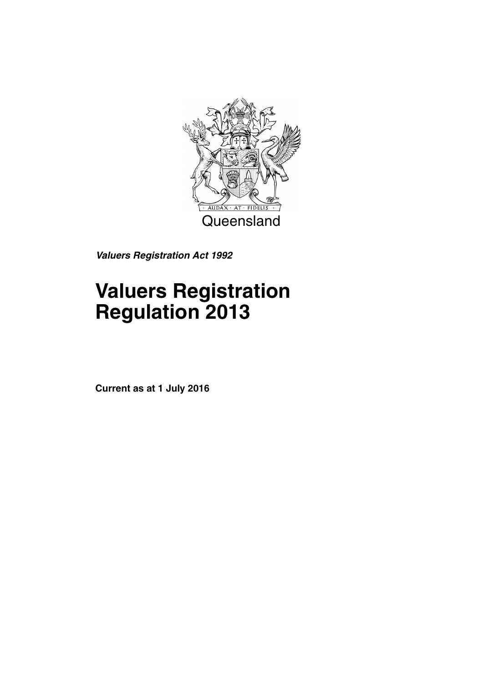

*Valuers Registration Act 1992*

# **Valuers Registration Regulation 2013**

**Current as at 1 July 2016**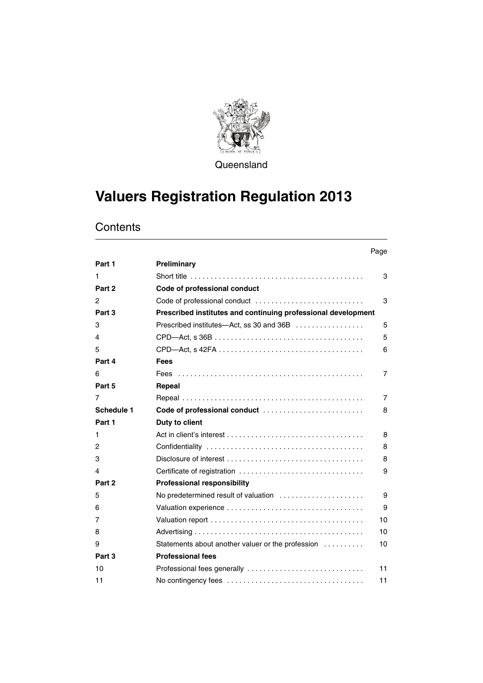

**Queensland** 

# **Valuers Registration Regulation 2013**

### **Contents**

|            |                                                               | Page           |
|------------|---------------------------------------------------------------|----------------|
| Part 1     | Preliminary                                                   |                |
| 1.         |                                                               | 3              |
| Part 2     | Code of professional conduct                                  |                |
| 2          |                                                               | 3              |
| Part 3     | Prescribed institutes and continuing professional development |                |
| 3          | Prescribed institutes—Act, ss 30 and 36B                      | 5              |
| 4          |                                                               | 5              |
| 5          |                                                               | 6              |
| Part 4     | <b>Fees</b>                                                   |                |
| 6          |                                                               | 7              |
| Part 5     | Repeal                                                        |                |
| 7          |                                                               | $\overline{7}$ |
| Schedule 1 | Code of professional conduct                                  | 8              |
| Part 1     | Duty to client                                                |                |
| 1          |                                                               | 8              |
| 2          |                                                               | 8              |
| 3          |                                                               | 8              |
| 4          | Certificate of registration                                   | 9              |
| Part 2     | <b>Professional responsibility</b>                            |                |
| 5          | No predetermined result of valuation                          | 9              |
| 6          |                                                               | 9              |
| 7          |                                                               | 10             |
| 8          |                                                               | 10             |
| 9          | Statements about another valuer or the profession             | 10             |
| Part 3     | <b>Professional fees</b>                                      |                |
| 10         |                                                               | 11             |
| 11         |                                                               | 11             |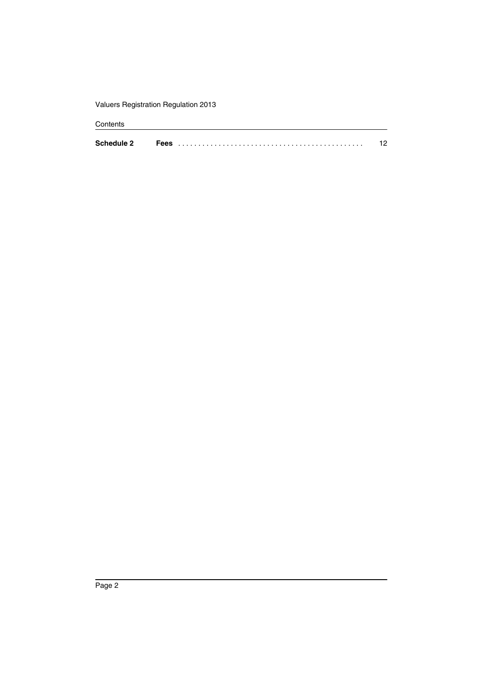Valuers Registration Regulation 2013

#### Contents

| <b>Schedule 2</b> | 663 |  |
|-------------------|-----|--|
|                   |     |  |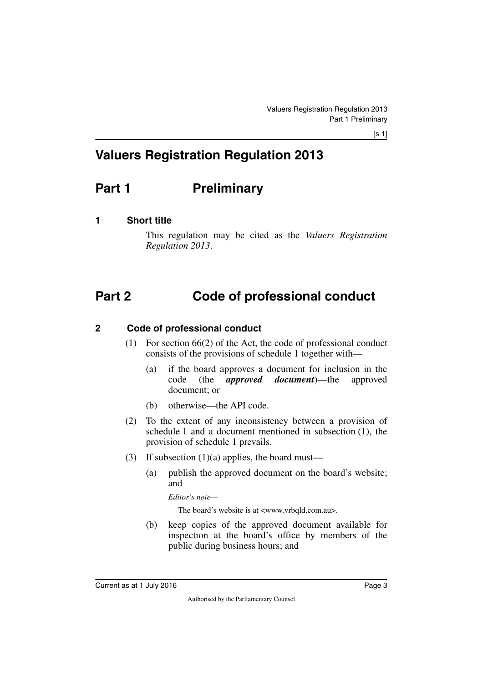# **Valuers Registration Regulation 2013**

# <span id="page-4-0"></span>**Part 1** Preliminary

### <span id="page-4-2"></span>**1 Short title**

<span id="page-4-5"></span><span id="page-4-3"></span><span id="page-4-1"></span>This regulation may be cited as the *Valuers Registration Regulation 2013*.

# <span id="page-4-4"></span>**Part 2 Code of professional conduct**

### <span id="page-4-6"></span>**2 Code of professional conduct**

- <span id="page-4-7"></span>(1) For section 66(2) of the Act, the code of professional conduct consists of the provisions of schedule 1 together with—
	- (a) if the board approves a document for inclusion in the code (the *approved document*)—the approved document; or
	- (b) otherwise—the API code.
- (2) To the extent of any inconsistency between a provision of schedule 1 and a document mentioned in subsection (1), the provision of schedule 1 prevails.
- (3) If subsection  $(1)(a)$  applies, the board must—
	- (a) publish the approved document on the board's website; and

*Editor's note—*

The board's website is at <www.vrbqld.com.au>.

(b) keep copies of the approved document available for inspection at the board's office by members of the public during business hours; and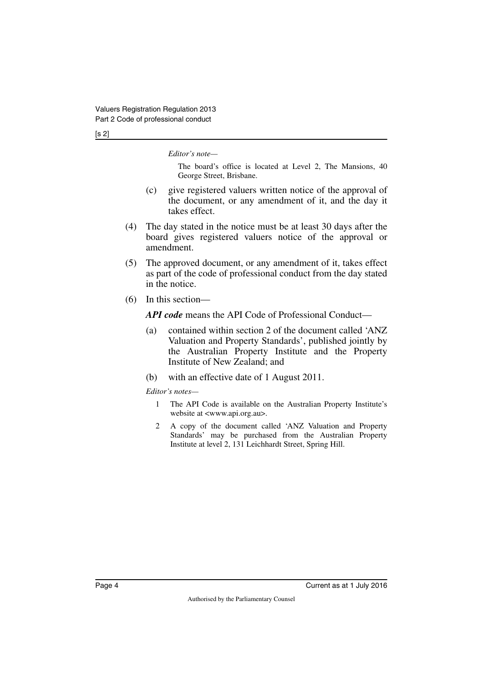#### [s 2]

*Editor's note—*

The board's office is located at Level 2, The Mansions, 40 George Street, Brisbane.

- (c) give registered valuers written notice of the approval of the document, or any amendment of it, and the day it takes effect.
- (4) The day stated in the notice must be at least 30 days after the board gives registered valuers notice of the approval or amendment.
- (5) The approved document, or any amendment of it, takes effect as part of the code of professional conduct from the day stated in the notice.
- (6) In this section—

*API code* means the API Code of Professional Conduct—

- (a) contained within section 2 of the document called 'ANZ Valuation and Property Standards', published jointly by the Australian Property Institute and the Property Institute of New Zealand; and
- (b) with an effective date of 1 August 2011.

*Editor's notes—*

- 1 The API Code is available on the Australian Property Institute's website at <www.api.org.au>.
- 2 A copy of the document called 'ANZ Valuation and Property Standards' may be purchased from the Australian Property Institute at level 2, 131 Leichhardt Street, Spring Hill.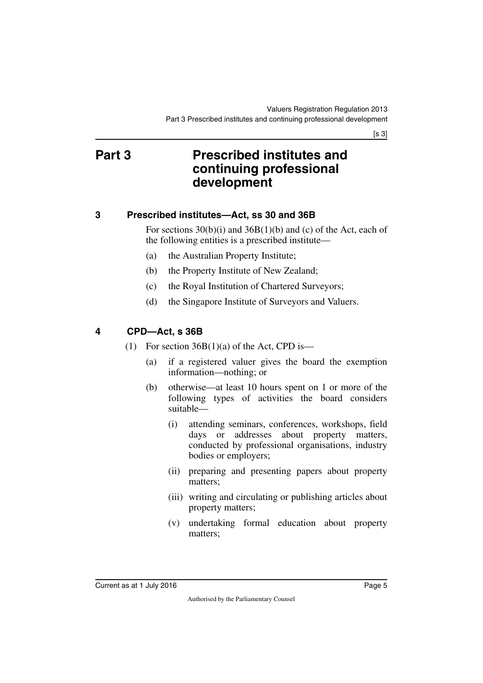$[s 3]$ 

# <span id="page-6-1"></span><span id="page-6-0"></span>**Part 3 Prescribed institutes and continuing professional development**

### <span id="page-6-2"></span>**3 Prescribed institutes—Act, ss 30 and 36B**

<span id="page-6-3"></span>For sections 30(b)(i) and 36B(1)(b) and (c) of the Act, each of the following entities is a prescribed institute—

- (a) the Australian Property Institute;
- (b) the Property Institute of New Zealand;
- (c) the Royal Institution of Chartered Surveyors;
- (d) the Singapore Institute of Surveyors and Valuers.

### <span id="page-6-4"></span>**4 CPD—Act, s 36B**

- <span id="page-6-5"></span>(1) For section  $36B(1)(a)$  of the Act, CPD is—
	- (a) if a registered valuer gives the board the exemption information—nothing; or
	- (b) otherwise—at least 10 hours spent on 1 or more of the following types of activities the board considers suitable—
		- (i) attending seminars, conferences, workshops, field days or addresses about property matters, conducted by professional organisations, industry bodies or employers;
		- (ii) preparing and presenting papers about property matters;
		- (iii) writing and circulating or publishing articles about property matters;
		- (v) undertaking formal education about property matters;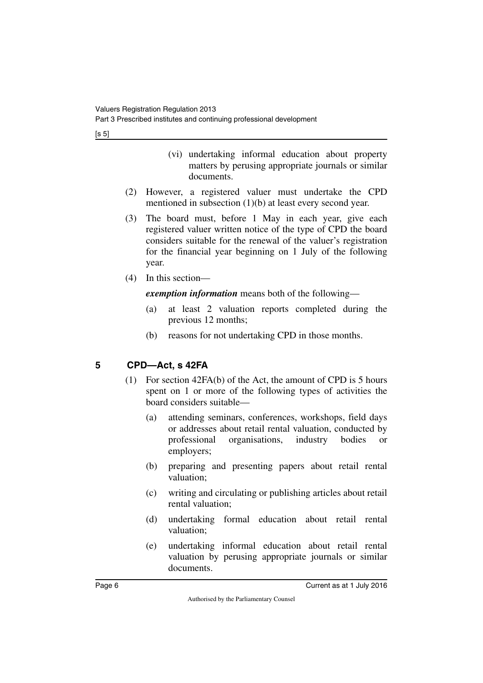$[s 5]$ 

- (vi) undertaking informal education about property matters by perusing appropriate journals or similar documents.
- (2) However, a registered valuer must undertake the CPD mentioned in subsection (1)(b) at least every second year.
- (3) The board must, before 1 May in each year, give each registered valuer written notice of the type of CPD the board considers suitable for the renewal of the valuer's registration for the financial year beginning on 1 July of the following year.
- (4) In this section—

*exemption information* means both of the following—

- (a) at least 2 valuation reports completed during the previous 12 months;
- (b) reasons for not undertaking CPD in those months.

### <span id="page-7-0"></span>**5 CPD—Act, s 42FA**

- <span id="page-7-1"></span>(1) For section 42FA(b) of the Act, the amount of CPD is 5 hours spent on 1 or more of the following types of activities the board considers suitable—
	- (a) attending seminars, conferences, workshops, field days or addresses about retail rental valuation, conducted by professional organisations, industry bodies or employers;
	- (b) preparing and presenting papers about retail rental valuation;
	- (c) writing and circulating or publishing articles about retail rental valuation;
	- (d) undertaking formal education about retail rental valuation;
	- (e) undertaking informal education about retail rental valuation by perusing appropriate journals or similar documents.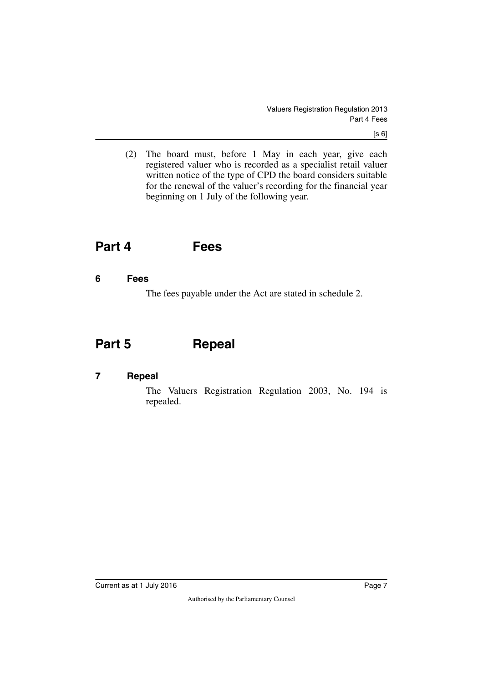(2) The board must, before 1 May in each year, give each registered valuer who is recorded as a specialist retail valuer written notice of the type of CPD the board considers suitable for the renewal of the valuer's recording for the financial year beginning on 1 July of the following year.

# <span id="page-8-0"></span>**Part 4 Fees**

#### <span id="page-8-2"></span>**6 Fees**

<span id="page-8-5"></span><span id="page-8-3"></span><span id="page-8-1"></span>The fees payable under the Act are stated in schedule 2.

# <span id="page-8-4"></span>**Part 5 Repeal**

### <span id="page-8-6"></span>**7 Repeal**

<span id="page-8-7"></span>The Valuers Registration Regulation 2003, No. 194 is repealed.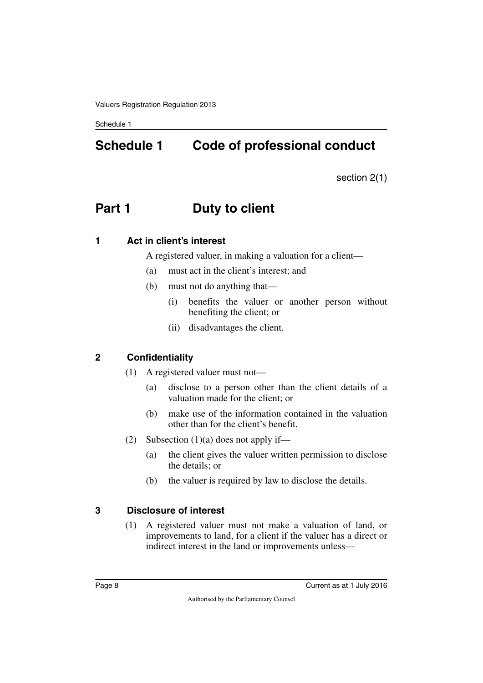# <span id="page-9-1"></span><span id="page-9-0"></span>**Schedule 1 Code of professional conduct**

section 2(1)

# <span id="page-9-2"></span>**Part 1** Duty to client

#### <span id="page-9-4"></span>**1 Act in client's interest**

<span id="page-9-5"></span><span id="page-9-3"></span>A registered valuer, in making a valuation for a client—

- (a) must act in the client's interest; and
- (b) must not do anything that—
	- (i) benefits the valuer or another person without benefiting the client; or
	- (ii) disadvantages the client.

### <span id="page-9-6"></span>**2 Confidentiality**

- <span id="page-9-7"></span>(1) A registered valuer must not—
	- (a) disclose to a person other than the client details of a valuation made for the client; or
	- (b) make use of the information contained in the valuation other than for the client's benefit.
- (2) Subsection  $(1)(a)$  does not apply if—
	- (a) the client gives the valuer written permission to disclose the details; or
	- (b) the valuer is required by law to disclose the details.

### <span id="page-9-8"></span>**3 Disclosure of interest**

<span id="page-9-9"></span>(1) A registered valuer must not make a valuation of land, or improvements to land, for a client if the valuer has a direct or indirect interest in the land or improvements unless—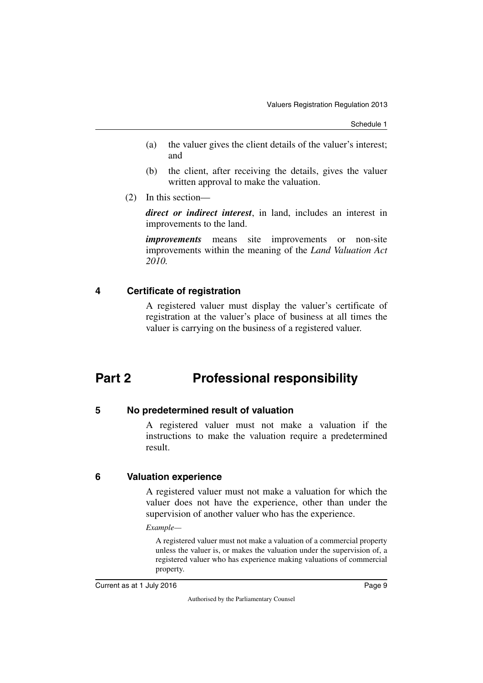- (a) the valuer gives the client details of the valuer's interest; and
- (b) the client, after receiving the details, gives the valuer written approval to make the valuation.
- (2) In this section—

*direct or indirect interest*, in land, includes an interest in improvements to the land.

*improvements* means site improvements or non-site improvements within the meaning of the *Land Valuation Act 2010.*

### <span id="page-10-0"></span>**4 Certificate of registration**

<span id="page-10-3"></span><span id="page-10-1"></span>A registered valuer must display the valuer's certificate of registration at the valuer's place of business at all times the valuer is carrying on the business of a registered valuer.

# <span id="page-10-2"></span>**Part 2 Professional responsibility**

### <span id="page-10-4"></span>**5 No predetermined result of valuation**

<span id="page-10-5"></span>A registered valuer must not make a valuation if the instructions to make the valuation require a predetermined result.

### <span id="page-10-6"></span>**6 Valuation experience**

<span id="page-10-7"></span>A registered valuer must not make a valuation for which the valuer does not have the experience, other than under the supervision of another valuer who has the experience.

#### *Example—*

A registered valuer must not make a valuation of a commercial property unless the valuer is, or makes the valuation under the supervision of, a registered valuer who has experience making valuations of commercial property.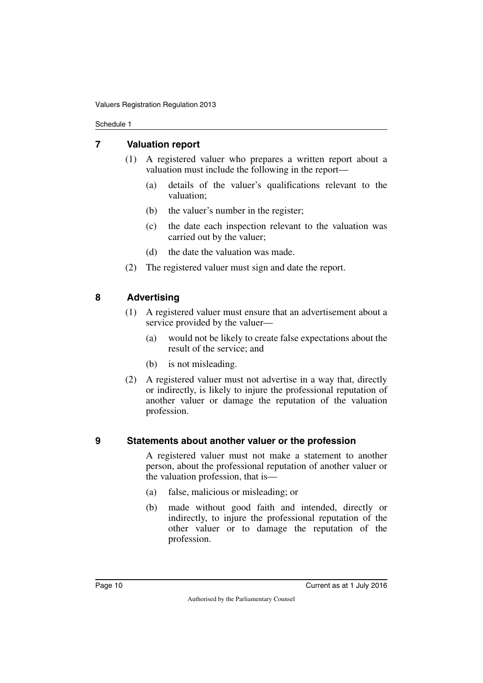#### <span id="page-11-0"></span>**7 Valuation report**

- <span id="page-11-1"></span>(1) A registered valuer who prepares a written report about a valuation must include the following in the report—
	- (a) details of the valuer's qualifications relevant to the valuation;
	- (b) the valuer's number in the register;
	- (c) the date each inspection relevant to the valuation was carried out by the valuer;
	- (d) the date the valuation was made.
- <span id="page-11-3"></span>(2) The registered valuer must sign and date the report.

### <span id="page-11-2"></span>**8 Advertising**

- (1) A registered valuer must ensure that an advertisement about a service provided by the valuer—
	- (a) would not be likely to create false expectations about the result of the service; and
	- (b) is not misleading.
- (2) A registered valuer must not advertise in a way that, directly or indirectly, is likely to injure the professional reputation of another valuer or damage the reputation of the valuation profession.

#### <span id="page-11-4"></span>**9 Statements about another valuer or the profession**

<span id="page-11-5"></span>A registered valuer must not make a statement to another person, about the professional reputation of another valuer or the valuation profession, that is—

- (a) false, malicious or misleading; or
- (b) made without good faith and intended, directly or indirectly, to injure the professional reputation of the other valuer or to damage the reputation of the profession.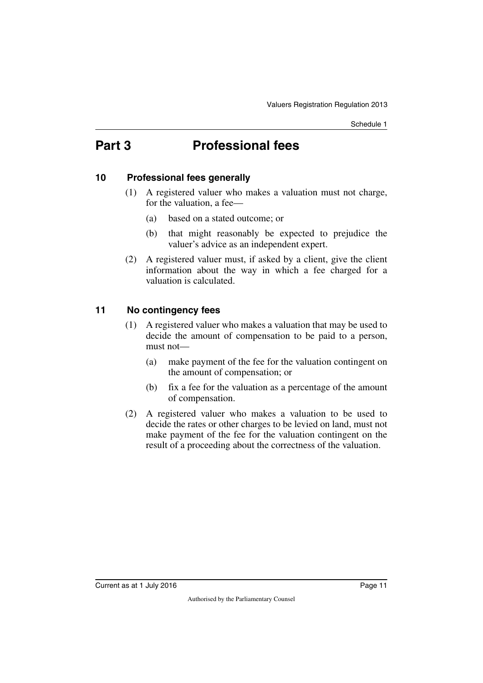# <span id="page-12-0"></span>**Part 3 Professional fees**

### <span id="page-12-2"></span>**10 Professional fees generally**

- <span id="page-12-3"></span><span id="page-12-1"></span>(1) A registered valuer who makes a valuation must not charge, for the valuation, a fee—
	- (a) based on a stated outcome; or
	- (b) that might reasonably be expected to prejudice the valuer's advice as an independent expert.
- (2) A registered valuer must, if asked by a client, give the client information about the way in which a fee charged for a valuation is calculated.

### <span id="page-12-4"></span>**11 No contingency fees**

- <span id="page-12-5"></span>(1) A registered valuer who makes a valuation that may be used to decide the amount of compensation to be paid to a person, must not—
	- (a) make payment of the fee for the valuation contingent on the amount of compensation; or
	- (b) fix a fee for the valuation as a percentage of the amount of compensation.
- (2) A registered valuer who makes a valuation to be used to decide the rates or other charges to be levied on land, must not make payment of the fee for the valuation contingent on the result of a proceeding about the correctness of the valuation.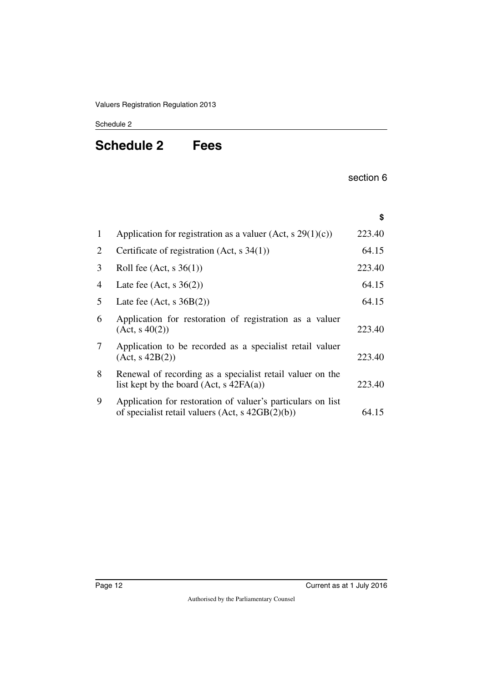# <span id="page-13-1"></span><span id="page-13-0"></span>**Schedule 2 Fees**

section 6

|   |                                                                                                                     | \$     |
|---|---------------------------------------------------------------------------------------------------------------------|--------|
| 1 | Application for registration as a valuer (Act, s $29(1)(c)$ )                                                       | 223.40 |
| 2 | Certificate of registration (Act, $s$ 34(1))                                                                        | 64.15  |
| 3 | Roll fee $(Act, s \ 36(1))$                                                                                         | 223.40 |
| 4 | Late fee $(Act, s \ 36(2))$                                                                                         | 64.15  |
| 5 | Late fee $(Act, s 36B(2))$                                                                                          | 64.15  |
| 6 | Application for restoration of registration as a valuer<br>(Act, s 40(2))                                           | 223.40 |
| 7 | Application to be recorded as a specialist retail valuer<br>(Act, s 42B(2))                                         | 223.40 |
| 8 | Renewal of recording as a specialist retail valuer on the<br>list kept by the board $(Act, s 42FA(a))$              | 223.40 |
| 9 | Application for restoration of valuer's particulars on list<br>of specialist retail valuers $(Act, s \ 42GB(2)(b))$ | 64.15  |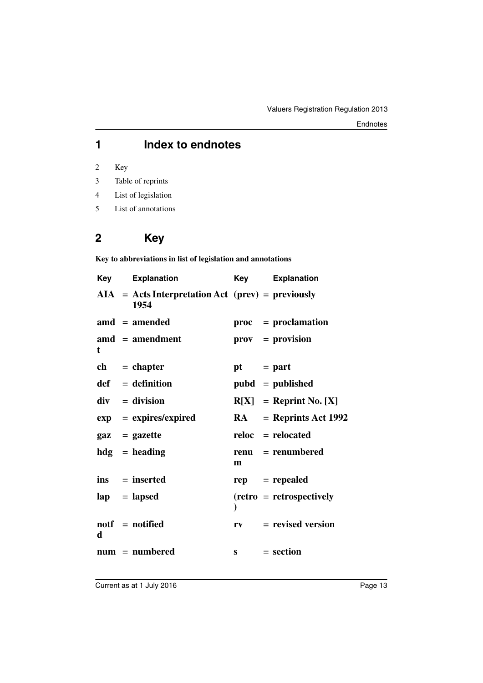### **1 Index to endnotes**

2 Key

- 3 Table of reprints
- 4 List of legislation
- 5 List of annotations

# **2 Key**

**Key to abbreviations in list of legislation and annotations**

| Key | <b>Explanation</b>                                          | Key         | <b>Explanation</b>              |
|-----|-------------------------------------------------------------|-------------|---------------------------------|
|     | $AIA = Acts Interpretation Act (prev) = previously$<br>1954 |             |                                 |
|     | $\text{and} = \text{amended}$                               |             | $proc = production$             |
| t   | $\mathbf{a} \mathbf{m} \mathbf{d}$ = amendment              |             | $\mathbf{prox} = \mathbf{prox}$ |
|     | $ch = chapter$                                              | $pt = part$ |                                 |
|     | $def = definition$                                          |             | $pubd = published$              |
|     | $div = division$                                            |             | $R[X] =$ Reprint No. [X]        |
|     | $exp = expires/expired$                                     |             | $RA$ = Reprints Act 1992        |
|     | $\mathbf{gaz} = \mathbf{gazette}$                           |             | $reloc =$ relocated             |
|     | $hdg =$ heading                                             | m           | renu = renumbered               |
|     | $ins = inserted$                                            |             | $rep = rep\neq$                 |
|     | $\mathbf{lap} = \mathbf{lapsed}$                            |             | $(retro = retrospectively)$     |
| d   | $\text{notf} = \text{notified}$                             |             | $rv = revised version$          |
|     | $num = numbered$                                            |             | $s = section$                   |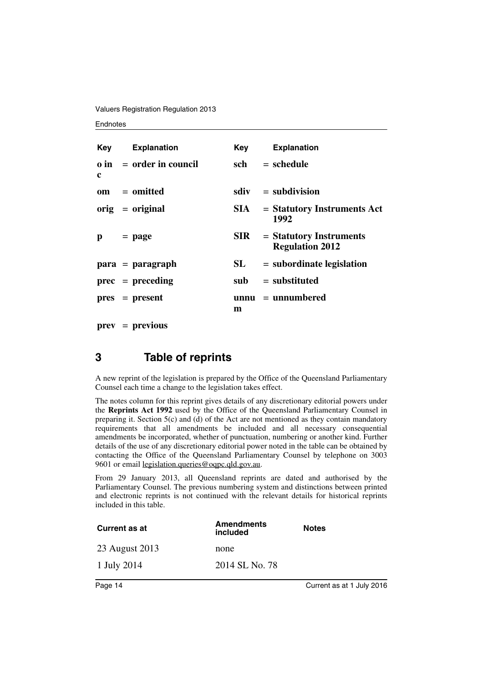Valuers Registration Regulation 2013

#### **Endnotes**

|              | <b>Key</b> Explanation         | Key        | <b>Explanation</b>                                  |
|--------------|--------------------------------|------------|-----------------------------------------------------|
| c            | $\theta$ in = order in council | sch        | $=$ schedule                                        |
|              | $om = omitted$                 |            | $sdiv = subdivision$                                |
|              | $orig = original$              | SIA —      | $=$ Statutory Instruments Act<br>1992               |
| $\mathbf{p}$ | $=$ page                       | <b>SIR</b> | $=$ Statutory Instruments<br><b>Regulation 2012</b> |
|              | $para = paragraph$             | SL         | $=$ subordinate legislation                         |
|              | $prec = preceding$             |            | $sub =$ substituted                                 |
|              | $pres = present$               | m          | $unnu = unnumbered$                                 |

**prev** = **previous**

### **3 Table of reprints**

A new reprint of the legislation is prepared by the Office of the Queensland Parliamentary Counsel each time a change to the legislation takes effect.

The notes column for this reprint gives details of any discretionary editorial powers under the **Reprints Act 1992** used by the Office of the Queensland Parliamentary Counsel in preparing it. Section  $5(c)$  and (d) of the Act are not mentioned as they contain mandatory requirements that all amendments be included and all necessary consequential amendments be incorporated, whether of punctuation, numbering or another kind. Further details of the use of any discretionary editorial power noted in the table can be obtained by contacting the Office of the Queensland Parliamentary Counsel by telephone on 3003 9601 or email legislation.queries@oqpc.qld.gov.au.

From 29 January 2013, all Queensland reprints are dated and authorised by the Parliamentary Counsel. The previous numbering system and distinctions between printed and electronic reprints is not continued with the relevant details for historical reprints included in this table.

| <b>Current as at</b> | <b>Amendments</b><br>included | <b>Notes</b> |
|----------------------|-------------------------------|--------------|
| 23 August 2013       | none                          |              |
| 1 July 2014          | 2014 SL No. 78                |              |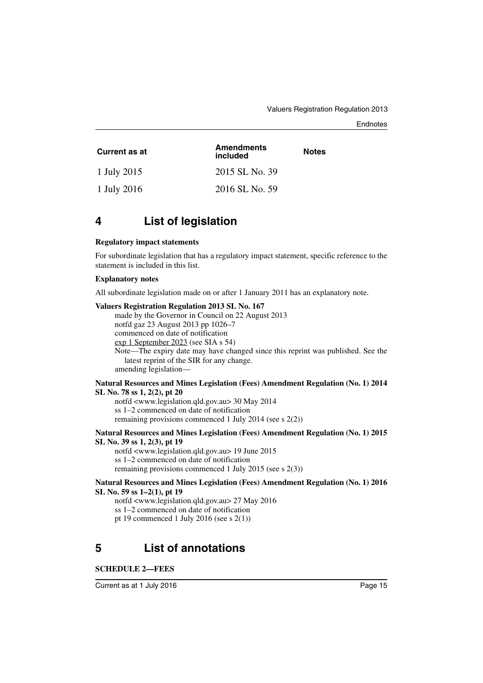#### **Endnotes**

| Current as at | <b>Amendments</b><br>included | <b>Notes</b> |
|---------------|-------------------------------|--------------|
| 1 July 2015   | 2015 SL No. 39                |              |
| 1 July 2016   | 2016 SL No. 59                |              |

### **4 List of legislation**

#### **Regulatory impact statements**

For subordinate legislation that has a regulatory impact statement, specific reference to the statement is included in this list.

#### **Explanatory notes**

All subordinate legislation made on or after 1 January 2011 has an explanatory note.

#### **Valuers Registration Regulation 2013 SL No. 167**

made by the Governor in Council on 22 August 2013 notfd gaz 23 August 2013 pp 1026–7 commenced on date of notification exp 1 September 2023 (see SIA s 54) Note—The expiry date may have changed since this reprint was published. See the latest reprint of the SIR for any change. amending legislation—

#### **Natural Resources and Mines Legislation (Fees) Amendment Regulation (No. 1) 2014 SL No. 78 ss 1, 2(2), pt 20**

notfd <www.legislation.qld.gov.au> 30 May 2014 ss 1–2 commenced on date of notification remaining provisions commenced 1 July 2014 (see s 2(2))

#### **Natural Resources and Mines Legislation (Fees) Amendment Regulation (No. 1) 2015 SL No. 39 ss 1, 2(3), pt 19**

notfd <www.legislation.qld.gov.au> 19 June 2015 ss 1–2 commenced on date of notification remaining provisions commenced 1 July 2015 (see s 2(3))

#### **Natural Resources and Mines Legislation (Fees) Amendment Regulation (No. 1) 2016 SL No. 59 ss 1–2(1), pt 19**

notfd <www.legislation.qld.gov.au> 27 May 2016 ss 1–2 commenced on date of notification pt 19 commenced 1 July 2016 (see s 2(1))

# **5 List of annotations**

#### **SCHEDULE 2—FEES**